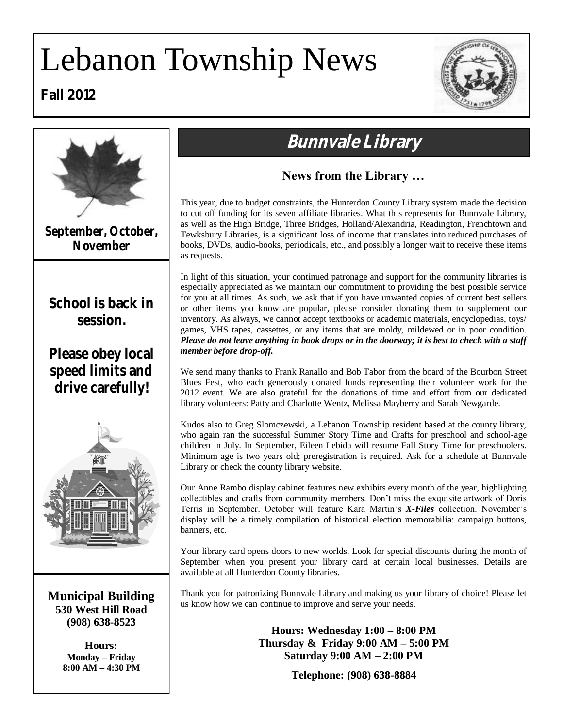# Lebanon Township News





# **September, October, November Municipal Building 530 West Hill Road (908) 638-8523 Hours: Monday – Friday 8:00 AM – 4:30 PM School is back in session. Please obey local speed limits and drive carefully!**

# **Bunnvale Library**

# **News from the Library …**

This year, due to budget constraints, the Hunterdon County Library system made the decision to cut off funding for its seven affiliate libraries. What this represents for Bunnvale Library, as well as the High Bridge, Three Bridges, Holland/Alexandria, Readington, Frenchtown and Tewksbury Libraries, is a significant loss of income that translates into reduced purchases of books, DVDs, audio-books, periodicals, etc., and possibly a longer wait to receive these items as requests.

In light of this situation, your continued patronage and support for the community libraries is especially appreciated as we maintain our commitment to providing the best possible service for you at all times. As such, we ask that if you have unwanted copies of current best sellers or other items you know are popular, please consider donating them to supplement our inventory. As always, we cannot accept textbooks or academic materials, encyclopedias, toys/ games, VHS tapes, cassettes, or any items that are moldy, mildewed or in poor condition. *Please do not leave anything in book drops or in the doorway; it is best to check with a staff member before drop-off.*

We send many thanks to Frank Ranallo and Bob Tabor from the board of the Bourbon Street Blues Fest, who each generously donated funds representing their volunteer work for the 2012 event. We are also grateful for the donations of time and effort from our dedicated library volunteers: Patty and Charlotte Wentz, Melissa Mayberry and Sarah Newgarde.

Kudos also to Greg Slomczewski, a Lebanon Township resident based at the county library, who again ran the successful Summer Story Time and Crafts for preschool and school-age children in July. In September, Eileen Lebida will resume Fall Story Time for preschoolers. Minimum age is two years old; preregistration is required. Ask for a schedule at Bunnvale Library or check the county library website.

Our Anne Rambo display cabinet features new exhibits every month of the year, highlighting collectibles and crafts from community members. Don't miss the exquisite artwork of Doris Terris in September. October will feature Kara Martin's *X-Files* collection. November's display will be a timely compilation of historical election memorabilia: campaign buttons, banners, etc.

Your library card opens doors to new worlds. Look for special discounts during the month of September when you present your library card at certain local businesses. Details are available at all Hunterdon County libraries.

Thank you for patronizing Bunnvale Library and making us your library of choice! Please let us know how we can continue to improve and serve your needs.

> **Hours: Wednesday 1:00 – 8:00 PM Thursday & Friday 9:00 AM – 5:00 PM Saturday 9:00 AM – 2:00 PM**

> > **Telephone: (908) 638-8884**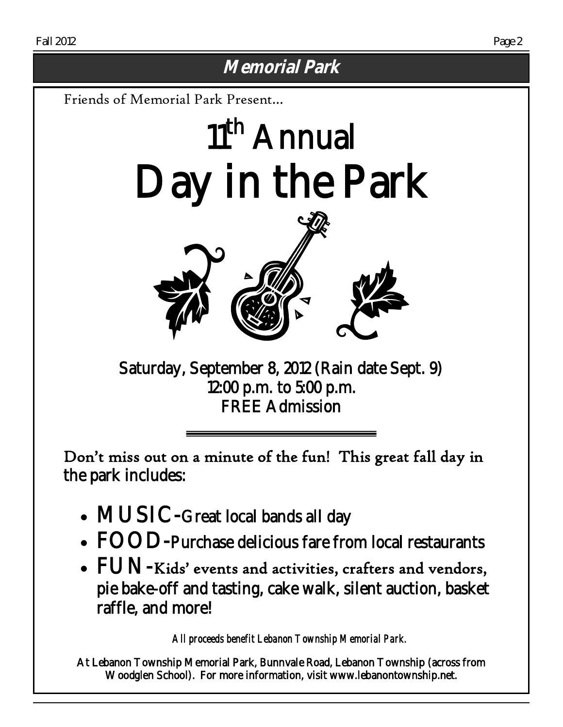# **Memorial Park**

Friends of Memorial Park Present…

# 11<sup>th</sup> Annual Day in the Park



Saturday, September 8, 2012 (Rain date Sept. 9) 12:00 p.m. to 5:00 p.m. FREE Admission

Don't miss out on a minute of the fun! This great fall day in the park includes:

- MUSIC-Great local bands all day
- FOOD-Purchase delicious fare from local restaurants
- FUN-Kids' events and activities, crafters and vendors, pie bake-off and tasting, cake walk, silent auction, basket raffle, and more!

*All proceeds benefit Lebanon Township Memorial Park.* 

At Lebanon Township Memorial Park, Bunnvale Road, Lebanon Township (across from Woodglen School). For more information, visit www.lebanontownship.net.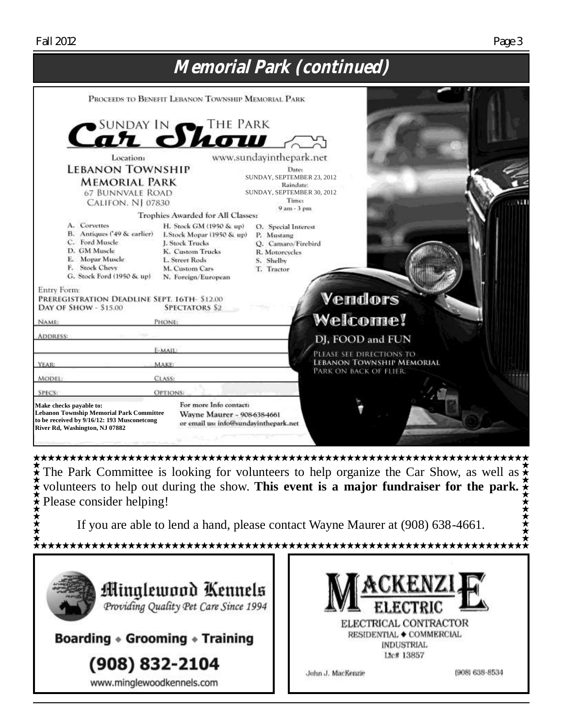

Figure 1 The Park Committee is looking for volunteers to help organize the Car Show, as well as  $\hat{\star}$ volunteers to help out during the show. This event is a major fundraiser for the park.  $\frac{2}{\lambda}$ Please consider helping!

If you are able to lend a hand, please contact Wayne Maurer at (908) 638-4661.



(908) 832-2104

www.minglewoodkennels.com

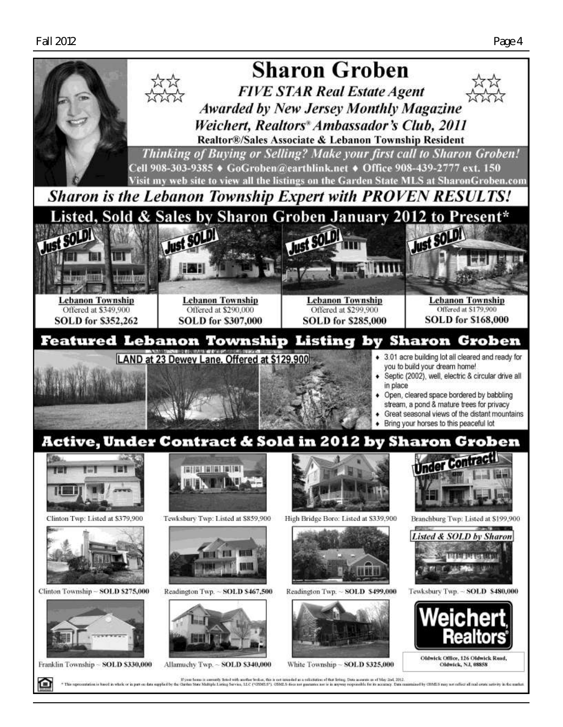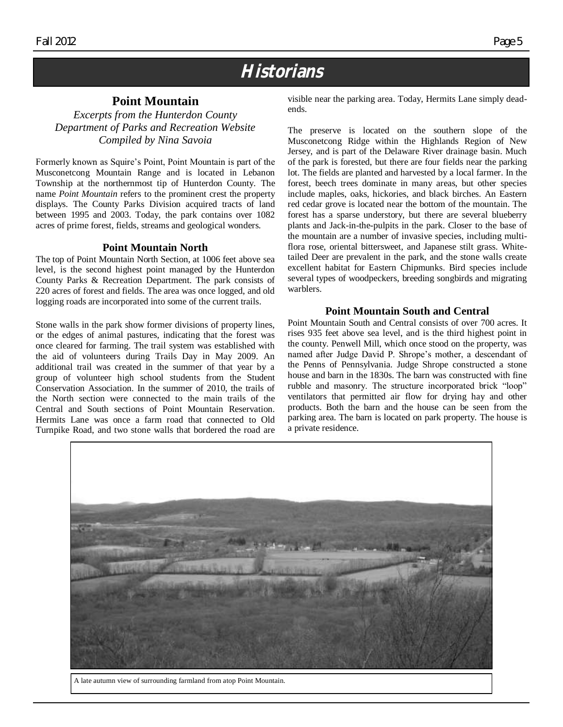# **Historians**

### **Point Mountain**

*Excerpts from the Hunterdon County Department of Parks and Recreation Website Compiled by Nina Savoia*

Formerly known as Squire's Point, Point Mountain is part of the Musconetcong Mountain Range and is located in Lebanon Township at the northernmost tip of Hunterdon County. The name *Point Mountain* refers to the prominent crest the property displays. The County Parks Division acquired tracts of land between 1995 and 2003. Today, the park contains over 1082 acres of prime forest, fields, streams and geological wonders.

#### **Point Mountain North**

The top of Point Mountain North Section, at 1006 feet above sea level, is the second highest point managed by the Hunterdon County Parks & Recreation Department. The park consists of 220 acres of forest and fields. The area was once logged, and old logging roads are incorporated into some of the current trails.

Stone walls in the park show former divisions of property lines, or the edges of animal pastures, indicating that the forest was once cleared for farming. The trail system was established with the aid of volunteers during Trails Day in May 2009. An additional trail was created in the summer of that year by a group of volunteer high school students from the Student Conservation Association. In the summer of 2010, the trails of the North section were connected to the main trails of the Central and South sections of Point Mountain Reservation. Hermits Lane was once a farm road that connected to Old Turnpike Road, and two stone walls that bordered the road are visible near the parking area. Today, Hermits Lane simply deadends.

The preserve is located on the southern slope of the Musconetcong Ridge within the Highlands Region of New Jersey, and is part of the Delaware River drainage basin. Much of the park is forested, but there are four fields near the parking lot. The fields are planted and harvested by a local farmer. In the forest, beech trees dominate in many areas, but other species include maples, oaks, hickories, and black birches. An Eastern red cedar grove is located near the bottom of the mountain. The forest has a sparse understory, but there are several blueberry plants and Jack-in-the-pulpits in the park. Closer to the base of the mountain are a number of invasive species, including multiflora rose, oriental bittersweet, and Japanese stilt grass. Whitetailed Deer are prevalent in the park, and the stone walls create excellent habitat for Eastern Chipmunks. Bird species include several types of woodpeckers, breeding songbirds and migrating warblers.

#### **Point Mountain South and Central**

Point Mountain South and Central consists of over 700 acres. It rises 935 feet above sea level, and is the third highest point in the county. Penwell Mill, which once stood on the property, was named after Judge David P. Shrope's mother, a descendant of the Penns of Pennsylvania. Judge Shrope constructed a stone house and barn in the 1830s. The barn was constructed with fine rubble and masonry. The structure incorporated brick "loop" ventilators that permitted air flow for drying hay and other products. Both the barn and the house can be seen from the parking area. The barn is located on park property. The house is a private residence.



A late autumn view of surrounding farmland from atop Point Mountain.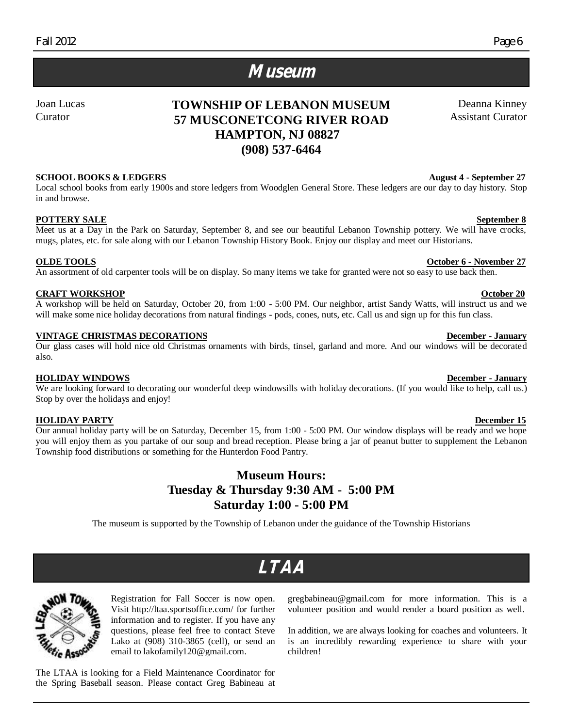Deanna Kinney Assistant Curator

# **Museum**

Joan Lucas Curator

# **TOWNSHIP OF LEBANON MUSEUM 57 MUSCONETCONG RIVER ROAD HAMPTON, NJ 08827 (908) 537-6464**

### **SCHOOL BOOKS & LEDGERS** August 4 - September 27

Local school books from early 1900s and store ledgers from Woodglen General Store. These ledgers are our day to day history. Stop in and browse.

### **POTTERY SALE** September 8

Meet us at a Day in the Park on Saturday, September 8, and see our beautiful Lebanon Township pottery. We will have crocks, mugs, plates, etc. for sale along with our Lebanon Township History Book. Enjoy our display and meet our Historians.

### **<u>OLDE TOOLS</u> Our state of the set of the set of the set of the set of the set of the set of the set of the set of the set of the set of the set of the set of the set of the set of the set of the set of the set of the se**

An assortment of old carpenter tools will be on display. So many items we take for granted were not so easy to use back then.

#### **CRAFT WORKSHOP October 20**

A workshop will be held on Saturday, October 20, from 1:00 - 5:00 PM. Our neighbor, artist Sandy Watts, will instruct us and we will make some nice holiday decorations from natural findings - pods, cones, nuts, etc. Call us and sign up for this fun class.

#### **VINTAGE CHRISTMAS DECORATIONS December - January**

#### Our glass cases will hold nice old Christmas ornaments with birds, tinsel, garland and more. And our windows will be decorated also.

#### **HOLIDAY WINDOWS December - January**

We are looking forward to decorating our wonderful deep windowsills with holiday decorations. (If you would like to help, call us.) Stop by over the holidays and enjoy!

#### **HOLIDAY PARTY** December 15

Our annual holiday party will be on Saturday, December 15, from 1:00 - 5:00 PM. Our window displays will be ready and we hope you will enjoy them as you partake of our soup and bread reception. Please bring a jar of peanut butter to supplement the Lebanon Township food distributions or something for the Hunterdon Food Pantry.

### **Museum Hours: Tuesday & Thursday 9:30 AM - 5:00 PM Saturday 1:00 - 5:00 PM**

The museum is supported by the Township of Lebanon under the guidance of the Township Historians

# **LTAA**



Registration for Fall Soccer is now open. Visit http://ltaa.sportsoffice.com/ for further information and to register. If you have any questions, please feel free to contact Steve Lako at (908) 310-3865 (cell), or send an email to lakofamily120@gmail.com.

The LTAA is looking for a Field Maintenance Coordinator for the Spring Baseball season. Please contact Greg Babineau at gregbabineau@gmail.com for more information. This is a volunteer position and would render a board position as well.

In addition, we are always looking for coaches and volunteers. It is an incredibly rewarding experience to share with your children!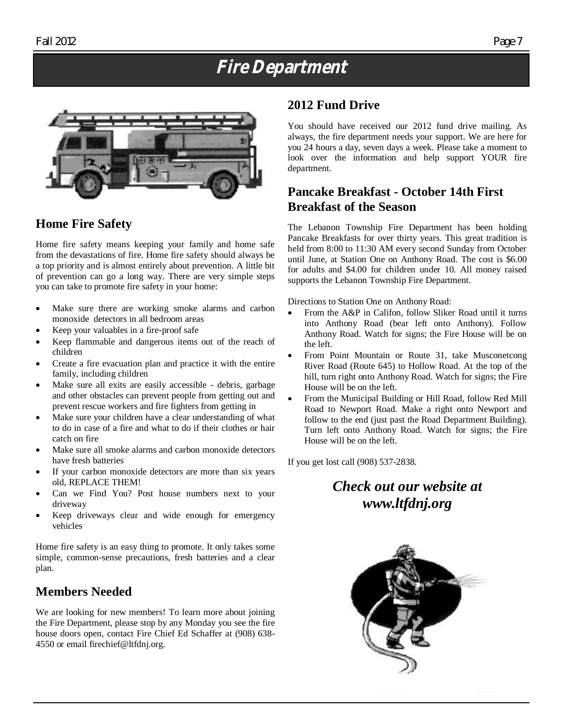# **Fire Department**



# **Home Fire Safety**

Home fire safety means keeping your family and home safe from the devastations of fire. Home fire safety should always be a top priority and is almost entirely about prevention. A little bit of prevention can go a long way. There are very simple steps you can take to promote fire safety in your home:

- Make sure there are working smoke alarms and carbon monoxide detectors in all bedroom areas
- Keep your valuables in a fire-proof safe
- Keep flammable and dangerous items out of the reach of children
- Create a fire evacuation plan and practice it with the entire family, including children
- Make sure all exits are easily accessible debris, garbage and other obstacles can prevent people from getting out and prevent rescue workers and fire fighters from getting in
- Make sure your children have a clear understanding of what to do in case of a fire and what to do if their clothes or hair catch on fire
- Make sure all smoke alarms and carbon monoxide detectors have fresh batteries
- If your carbon monoxide detectors are more than six years old, REPLACE THEM!
- Can we Find You? Post house numbers next to your driveway
- Keep driveways clear and wide enough for emergency vehicles

Home fire safety is an easy thing to promote. It only takes some simple, common-sense precautions, fresh batteries and a clear plan.

# **Members Needed**

We are looking for new members! To learn more about joining the Fire Department, please stop by any Monday you see the fire house doors open, contact Fire Chief Ed Schaffer at (908) 638- 4550 or email firechief@ltfdnj.org.

# **2012 Fund Drive**

You should have received our 2012 fund drive mailing. As always, the fire department needs your support. We are here for you 24 hours a day, seven days a week. Please take a moment to look over the information and help support YOUR fire department.

# **Pancake Breakfast - October 14th First Breakfast of the Season**

The Lebanon Township Fire Department has been holding Pancake Breakfasts for over thirty years. This great tradition is held from 8:00 to 11:30 AM every second Sunday from October until June, at Station One on Anthony Road. The cost is \$6.00 for adults and \$4.00 for children under 10. All money raised supports the Lebanon Township Fire Department.

Directions to Station One on Anthony Road:

- From the A&P in Califon, follow Sliker Road until it turns into Anthony Road (bear left onto Anthony). Follow Anthony Road. Watch for signs; the Fire House will be on the left.
- From Point Mountain or Route 31, take Musconetcong River Road (Route 645) to Hollow Road. At the top of the hill, turn right onto Anthony Road. Watch for signs; the Fire House will be on the left.
- From the Municipal Building or Hill Road, follow Red Mill Road to Newport Road. Make a right onto Newport and follow to the end (just past the Road Department Building). Turn left onto Anthony Road. Watch for signs; the Fire House will be on the left.

If you get lost call (908) 537-2838.

# *Check out our website at www.ltfdnj.org*

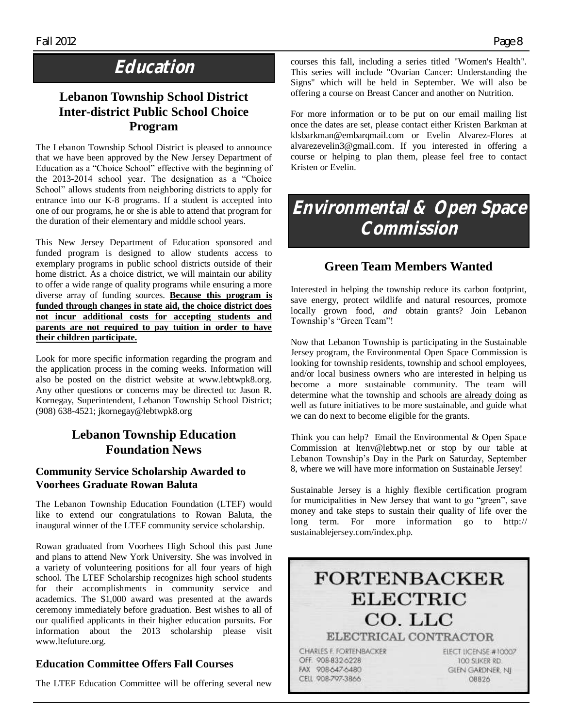# **Education**

# **Lebanon Township School District Inter-district Public School Choice Program**

The Lebanon Township School District is pleased to announce that we have been approved by the New Jersey Department of Education as a "Choice School" effective with the beginning of the 2013-2014 school year. The designation as a "Choice School" allows students from neighboring districts to apply for entrance into our K-8 programs. If a student is accepted into one of our programs, he or she is able to attend that program for the duration of their elementary and middle school years.

This New Jersey Department of Education sponsored and funded program is designed to allow students access to exemplary programs in public school districts outside of their home district. As a choice district, we will maintain our ability to offer a wide range of quality programs while ensuring a more diverse array of funding sources. **Because this program is funded through changes in state aid, the choice district does not incur additional costs for accepting students and parents are not required to pay tuition in order to have their children participate.**

Look for more specific information regarding the program and the application process in the coming weeks. Information will also be posted on the district website at www.lebtwpk8.org. Any other questions or concerns may be directed to: Jason R. Kornegay, Superintendent, Lebanon Township School District; (908) 638-4521; jkornegay@lebtwpk8.org

# **Lebanon Township Education Foundation News**

### **Community Service Scholarship Awarded to Voorhees Graduate Rowan Baluta**

The Lebanon Township Education Foundation (LTEF) would like to extend our congratulations to Rowan Baluta, the inaugural winner of the LTEF community service scholarship.

Rowan graduated from Voorhees High School this past June and plans to attend New York University. She was involved in a variety of volunteering positions for all four years of high school. The LTEF Scholarship recognizes high school students for their accomplishments in community service and academics. The \$1,000 award was presented at the awards ceremony immediately before graduation. Best wishes to all of our qualified applicants in their higher education pursuits. For information about the 2013 scholarship please visit www.ltefuture.org.

# **Education Committee Offers Fall Courses**

The LTEF Education Committee will be offering several new

courses this fall, including a series titled "Women's Health". This series will include "Ovarian Cancer: Understanding the Signs" which will be held in September. We will also be offering a course on Breast Cancer and another on Nutrition.

For more information or to be put on our email mailing list once the dates are set, please contact either Kristen Barkman at klsbarkman@embarqmail.com or Evelin Alvarez-Flores at alvarezevelin3@gmail.com. If you interested in offering a course or helping to plan them, please feel free to contact Kristen or Evelin.

# **Environmental & Open Space Commission**

# **Green Team Members Wanted**

Interested in helping the township reduce its carbon footprint, save energy, protect wildlife and natural resources, promote locally grown food, *and* obtain grants? Join Lebanon Township's "Green Team"!

Now that Lebanon Township is participating in the Sustainable Jersey program, the Environmental Open Space Commission is looking for township residents, township and school employees, and/or local business owners who are interested in helping us become a more sustainable community. The team will determine what the township and schools are already doing as well as future initiatives to be more sustainable, and guide what we can do next to become eligible for the grants.

Think you can help? Email the Environmental & Open Space Commission at ltenv@lebtwp.net or stop by our table at Lebanon Township's Day in the Park on Saturday, September 8, where we will have more information on Sustainable Jersey!

Sustainable Jersey is a highly flexible certification program for municipalities in New Jersey that want to go "green", save money and take steps to sustain their quality of life over the long term. For more information go to http:// sustainablejersey.com/index.php.

# **FORTENBACKER ELECTRIC** CO. LLC ELECTRICAL CONTRACTOR

CHARLES F. FORTENBACKER OFF. 908-832-6228 FAX 908-647-6480 CELL 908-797-3866

ELECT LICENSE #10007 TOO SLIKER RD. **GLEN GARDNER, NJ** 08826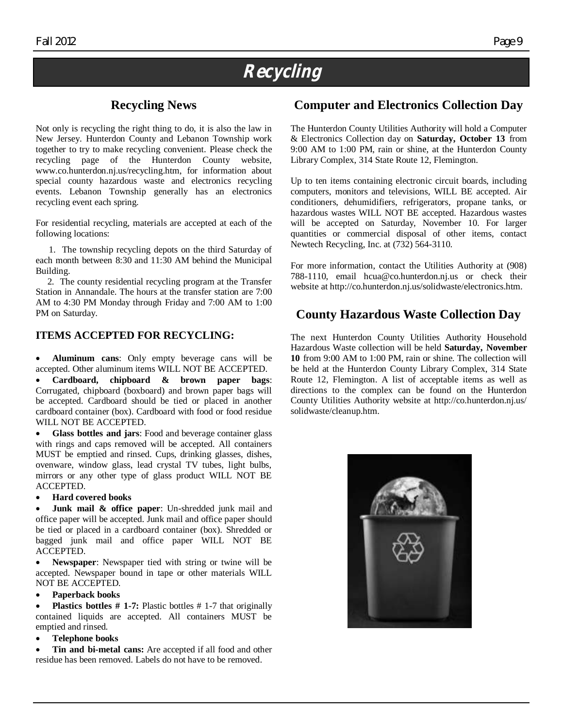# **Recycling**

# **Recycling News**

Not only is recycling the right thing to do, it is also the law in New Jersey. Hunterdon County and Lebanon Township work together to try to make recycling convenient. Please check the recycling page of the Hunterdon County website, www.co.hunterdon.nj.us/recycling.htm, for information about special county hazardous waste and electronics recycling events. Lebanon Township generally has an electronics recycling event each spring.

For residential recycling, materials are accepted at each of the following locations:

 1. The township recycling depots on the third Saturday of each month between 8:30 and 11:30 AM behind the Municipal Building.

 2. The county residential recycling program at the Transfer Station in Annandale. The hours at the transfer station are 7:00 AM to 4:30 PM Monday through Friday and 7:00 AM to 1:00 PM on Saturday.

### **ITEMS ACCEPTED FOR RECYCLING:**

 **Aluminum cans**: Only empty beverage cans will be accepted. Other aluminum items WILL NOT BE ACCEPTED.

 **Cardboard, chipboard & brown paper bags**: Corrugated, chipboard (boxboard) and brown paper bags will be accepted. Cardboard should be tied or placed in another cardboard container (box). Cardboard with food or food residue WILL NOT BE ACCEPTED.

 **Glass bottles and jars**: Food and beverage container glass with rings and caps removed will be accepted. All containers MUST be emptied and rinsed. Cups, drinking glasses, dishes, ovenware, window glass, lead crystal TV tubes, light bulbs, mirrors or any other type of glass product WILL NOT BE ACCEPTED.

**Hard covered books**

**Junk mail & office paper**: Un-shredded junk mail and office paper will be accepted. Junk mail and office paper should be tied or placed in a cardboard container (box). Shredded or bagged junk mail and office paper WILL NOT BE ACCEPTED.

 **Newspaper**: Newspaper tied with string or twine will be accepted. Newspaper bound in tape or other materials WILL NOT BE ACCEPTED.

**Paperback books**

 **Plastics bottles # 1-7:** Plastic bottles # 1-7 that originally contained liquids are accepted. All containers MUST be emptied and rinsed.

**Telephone books**

 **Tin and bi-metal cans:** Are accepted if all food and other residue has been removed. Labels do not have to be removed.

# **Computer and Electronics Collection Day**

The Hunterdon County Utilities Authority will hold a Computer & Electronics Collection day on **Saturday, October 13** from 9:00 AM to 1:00 PM, rain or shine, at the Hunterdon County Library Complex, 314 State Route 12, Flemington.

Up to ten items containing electronic circuit boards, including computers, monitors and televisions, WILL BE accepted. Air conditioners, dehumidifiers, refrigerators, propane tanks, or hazardous wastes WILL NOT BE accepted. Hazardous wastes will be accepted on Saturday, November 10. For larger quantities or commercial disposal of other items, contact Newtech Recycling, Inc. at (732) 564-3110.

For more information, contact the Utilities Authority at (908) 788-1110, email hcua@co.hunterdon.nj.us or check their website at http://co.hunterdon.nj.us/solidwaste/electronics.htm.

# **County Hazardous Waste Collection Day**

The next Hunterdon County Utilities Authority Household Hazardous Waste collection will be held **Saturday, November 10** from 9:00 AM to 1:00 PM, rain or shine. The collection will be held at the Hunterdon County Library Complex, 314 State Route 12, Flemington. A list of acceptable items as well as directions to the complex can be found on the Hunterdon County Utilities Authority website at http://co.hunterdon.nj.us/ solidwaste/cleanup.htm.

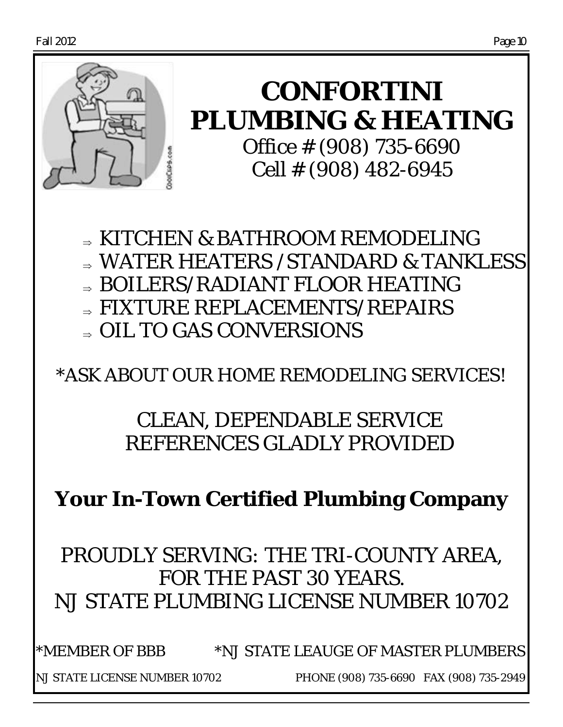

**CONFORTINI PLUMBING & HEATING** Office # (908) 735-6690 Cell # (908) 482-6945

 KITCHEN & BATHROOM REMODELING WATER HEATERS /STANDARD & TANKLESS BOILERS/RADIANT FLOOR HEATING ⇒ FIXTURE REPLACEMENTS/REPAIRS

 $\Rightarrow$  OIL TO GAS CONVERSIONS

\*ASK ABOUT OUR HOME REMODELING SERVICES!

# CLEAN, DEPENDABLE SERVICE REFERENCES GLADLY PROVIDED

**Your In-Town Certified Plumbing Company**

*PROUDLY SERVING: THE TRI-COUNTY AREA, FOR THE PAST 30 YEARS. NJ STATE PLUMBING LICENSE NUMBER 10702*

\*MEMBER OF BBB \*NJ STATE LEAUGE OF MASTER PLUMBERS NJ STATE LICENSE NUMBER 10702 PHONE (908) 735-6690 FAX (908) 735-2949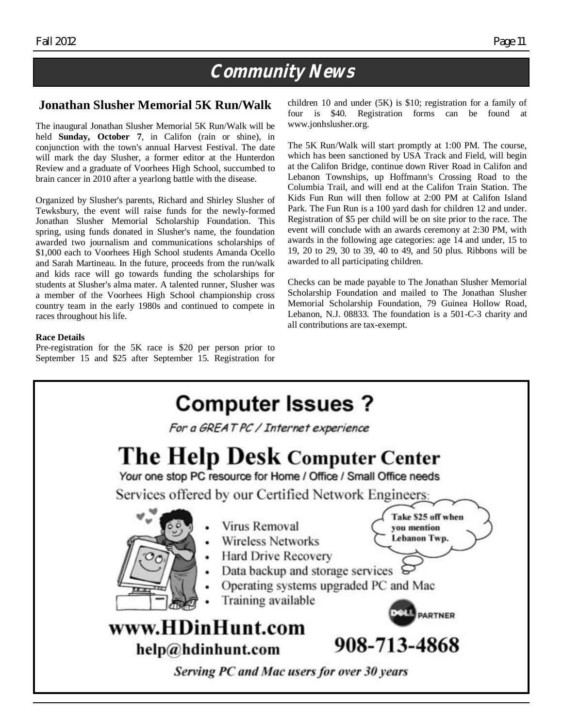# **Community News**

# **Jonathan Slusher Memorial 5K Run/Walk**

The inaugural Jonathan Slusher Memorial 5K Run/Walk will be held **Sunday, October 7**, in Califon (rain or shine), in conjunction with the town's annual Harvest Festival. The date will mark the day Slusher, a former editor at the Hunterdon Review and a graduate of Voorhees High School, succumbed to brain cancer in 2010 after a yearlong battle with the disease.

Organized by Slusher's parents, Richard and Shirley Slusher of Tewksbury, the event will raise funds for the newly-formed Jonathan Slusher Memorial Scholarship Foundation. This spring, using funds donated in Slusher's name, the foundation awarded two journalism and communications scholarships of \$1,000 each to Voorhees High School students Amanda Ocello and Sarah Martineau. In the future, proceeds from the run/walk and kids race will go towards funding the scholarships for students at Slusher's alma mater. A talented runner, Slusher was a member of the Voorhees High School championship cross country team in the early 1980s and continued to compete in races throughout his life.

### **Race Details**

Pre-registration for the 5K race is \$20 per person prior to September 15 and \$25 after September 15. Registration for children 10 and under (5K) is \$10; registration for a family of four is \$40. Registration forms can be found at www.jonhslusher.org.

The 5K Run/Walk will start promptly at 1:00 PM. The course, which has been sanctioned by USA Track and Field, will begin at the Califon Bridge, continue down River Road in Califon and Lebanon Townships, up Hoffmann's Crossing Road to the Columbia Trail, and will end at the Califon Train Station. The Kids Fun Run will then follow at 2:00 PM at Califon Island Park. The Fun Run is a 100 yard dash for children 12 and under. Registration of \$5 per child will be on site prior to the race. The event will conclude with an awards ceremony at 2:30 PM, with awards in the following age categories: age 14 and under, 15 to 19, 20 to 29, 30 to 39, 40 to 49, and 50 plus. Ribbons will be awarded to all participating children.

Checks can be made payable to The Jonathan Slusher Memorial Scholarship Foundation and mailed to The Jonathan Slusher Memorial Scholarship Foundation, 79 Guinea Hollow Road, Lebanon, N.J. 08833. The foundation is a 501-C-3 charity and all contributions are tax-exempt.

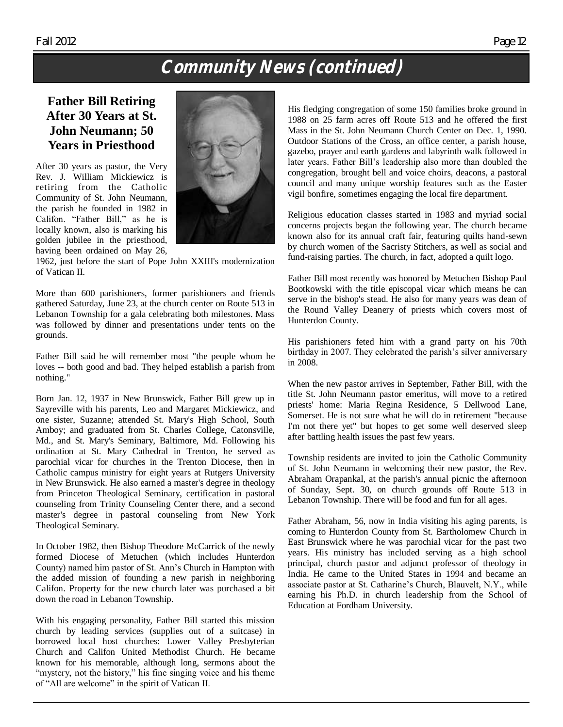# **Community News (continued)**

# **Father Bill Retiring After 30 Years at St. John Neumann; 50 Years in Priesthood**

After 30 years as pastor, the Very Rev. J. William Mickiewicz is retiring from the Catholic Community of St. John Neumann, the parish he founded in 1982 in Califon. "Father Bill," as he is locally known, also is marking his golden jubilee in the priesthood, having been ordained on May 26,



1962, just before the start of Pope John XXIII's modernization of Vatican II.

More than 600 parishioners, former parishioners and friends gathered Saturday, June 23, at the church center on Route 513 in Lebanon Township for a gala celebrating both milestones. Mass was followed by dinner and presentations under tents on the grounds.

Father Bill said he will remember most "the people whom he loves -- both good and bad. They helped establish a parish from nothing."

Born Jan. 12, 1937 in New Brunswick, Father Bill grew up in Sayreville with his parents, Leo and Margaret Mickiewicz, and one sister, Suzanne; attended St. Mary's High School, South Amboy; and graduated from St. Charles College, Catonsville, Md., and St. Mary's Seminary, Baltimore, Md. Following his ordination at St. Mary Cathedral in Trenton, he served as parochial vicar for churches in the Trenton Diocese, then in Catholic campus ministry for eight years at Rutgers University in New Brunswick. He also earned a master's degree in theology from Princeton Theological Seminary, certification in pastoral counseling from Trinity Counseling Center there, and a second master's degree in pastoral counseling from New York Theological Seminary.

In October 1982, then Bishop Theodore McCarrick of the newly formed Diocese of Metuchen (which includes Hunterdon County) named him pastor of St. Ann's Church in Hampton with the added mission of founding a new parish in neighboring Califon. Property for the new church later was purchased a bit down the road in Lebanon Township.

With his engaging personality, Father Bill started this mission church by leading services (supplies out of a suitcase) in borrowed local host churches: Lower Valley Presbyterian Church and Califon United Methodist Church. He became known for his memorable, although long, sermons about the "mystery, not the history," his fine singing voice and his theme of "All are welcome" in the spirit of Vatican II.

His fledging congregation of some 150 families broke ground in 1988 on 25 farm acres off Route 513 and he offered the first Mass in the St. John Neumann Church Center on Dec. 1, 1990. Outdoor Stations of the Cross, an office center, a parish house, gazebo, prayer and earth gardens and labyrinth walk followed in later years. Father Bill's leadership also more than doubled the congregation, brought bell and voice choirs, deacons, a pastoral council and many unique worship features such as the Easter vigil bonfire, sometimes engaging the local fire department.

Religious education classes started in 1983 and myriad social concerns projects began the following year. The church became known also for its annual craft fair, featuring quilts hand-sewn by church women of the Sacristy Stitchers, as well as social and fund-raising parties. The church, in fact, adopted a quilt logo.

Father Bill most recently was honored by Metuchen Bishop Paul Bootkowski with the title episcopal vicar which means he can serve in the bishop's stead. He also for many years was dean of the Round Valley Deanery of priests which covers most of Hunterdon County.

His parishioners feted him with a grand party on his 70th birthday in 2007. They celebrated the parish's silver anniversary in 2008.

When the new pastor arrives in September, Father Bill, with the title St. John Neumann pastor emeritus, will move to a retired priests' home: Maria Regina Residence, 5 Dellwood Lane, Somerset. He is not sure what he will do in retirement "because I'm not there yet" but hopes to get some well deserved sleep after battling health issues the past few years.

Township residents are invited to join the Catholic Community of St. John Neumann in welcoming their new pastor, the Rev. Abraham Orapankal, at the parish's annual picnic the afternoon of Sunday, Sept. 30, on church grounds off Route 513 in Lebanon Township. There will be food and fun for all ages.

Father Abraham, 56, now in India visiting his aging parents, is coming to Hunterdon County from St. Bartholomew Church in East Brunswick where he was parochial vicar for the past two years. His ministry has included serving as a high school principal, church pastor and adjunct professor of theology in India. He came to the United States in 1994 and became an associate pastor at St. Catharine's Church, Blauvelt, N.Y., while earning his Ph.D. in church leadership from the School of Education at Fordham University.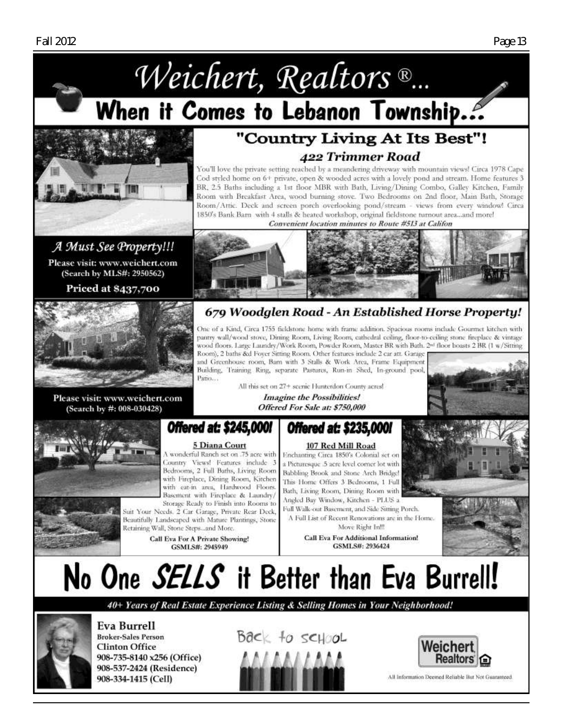

Room with Breakfast Area, wood burning stove. Two Bedrooms on 2nd floor, Main Bath, Storage Room/Attic. Deck and screen porch overlooking pond/stream - views from every window! Circa 1850's Bank Barn with 4 stalls & heated workshop, original fieldstone turnout area...and more! Convenient location minutes to Route #513 at Califon

# A Must See Property!!!

Please visit: www.weichert.com (Search by MLS#: 2950562)

**Priced at \$437,700** 



Please visit: www.weichert.com (Search by #: 008-030428)



# 679 Woodglen Road - An Established Horse Property!

One of a Kind, Circa 1755 fieldstone home with frame addition. Spacious rooms include Gourmet kitchen with pantry wall/wood stove, Dining Room, Living Room, cathedral ceiling, floor-to-ceiling stone fireplace & vintage wood floors. Large Laundry/Work Room, Powder Room, Master BR with Bath. 2<sup>nd</sup> floor boasts 2 BR (1 w/Sitting Room), 2 baths &d Foyer Sitting Room. Other features include 2 car att. Garage

and Greenhouse room, Bam with 3 Stalls & Work Area, Frame Equipment Building, Teaming Ring, separate Pastures, Run-in Shed, In-ground pool, Patio...

> All this set on 27+ scenic Hunterdon County acres! **Imagine the Possibilities!** Offered For Sale at: \$750,000



# **Offered at: \$245,000**

#### 5 Diana Court

A wonderful Ranch set on .75 acre with Country Views! Features include 3 Bedrooms, 2 Full Baths, Living Room with Fireplace, Dining Room, Kitchen with eat-in area, Hardwood Floors. Basement with Fireplace & Laundry/ Storage Ready to Finish into Rooms to

Suit Your Needs, 2 Car Garage, Private Rear Deck, Beautifully Landscaped with Mature Plantings, Stone Retaining Wall, Stone Steps...and More.

**Call Eva For A Private Showing!** GSMLS#: 2945949

# **Offered at: \$235,000**

107 Red Mill Road Enchanting Circa 1850's Colonial set on a Picturesque .5 acre level comer lot with Babbling Brook and Stone Arch Bridge! This Home Offers 3 Bedrooms, 1 Full Bath, Living Room, Dining Room with Angled Bay Window, Kitchen - PLUS a Full Walk-out Basement, and Side Sitting Porch.

A Full List of Recent Renovations are in the Home. Move Right In!!!

**Call Eva For Additional Information!** GSMLS#: 2936424





No One *SELLS* it Better than Eva Burrell!

40+ Years of Real Estate Experience Listing & Selling Homes in Your Neighborhood!



Eva Burrell **Broker-Sales Person Clinton Office** 908-735-8140 x256 (Office) 908-537-2424 (Residence) 908-334-1415 (Cell)

 $Bac \lt +o$  school



All Information Deemed Reliable But Not Guaranteed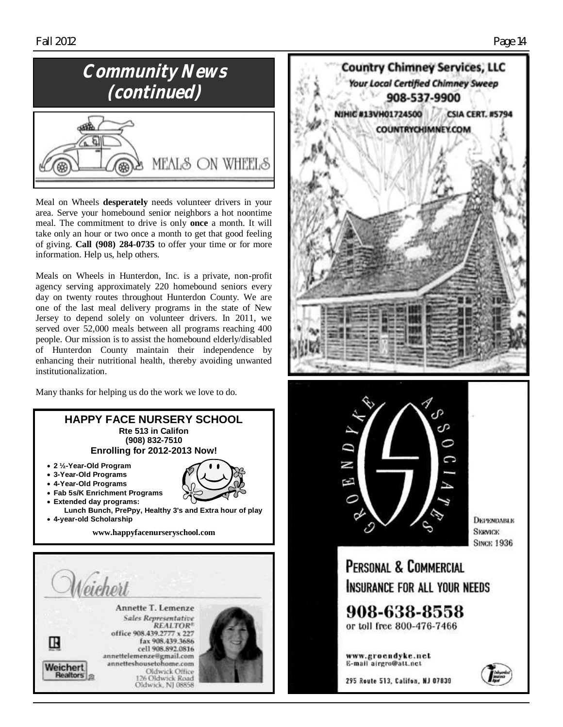# **Community News (continued)**



Meal on Wheels **desperately** needs volunteer drivers in your area. Serve your homebound senior neighbors a hot noontime meal. The commitment to drive is only **once** a month. It will take only an hour or two once a month to get that good feeling of giving. **Call (908) 284-0735** to offer your time or for more information. Help us, help others.

Meals on Wheels in Hunterdon, Inc. is a private, non-profit agency serving approximately 220 homebound seniors every day on twenty routes throughout Hunterdon County. We are one of the last meal delivery programs in the state of New Jersey to depend solely on volunteer drivers. In 2011, we served over 52,000 meals between all programs reaching 400 people. Our mission is to assist the homebound elderly/disabled of Hunterdon County maintain their independence by enhancing their nutritional health, thereby avoiding unwanted institutionalization.

Many thanks for helping us do the work we love to do.







*<u>DEPENDABLE</u>* **SKRVICK SINCK 1936** 

PERSONAL & COMMERCIAL INSURANCE FOR ALL YOUR NEEDS

908-638-8558 or toll free 800-476-7466

www.groendyke.net E-mail airgro@att.nct

295 Route 513, Califon, NJ 07830

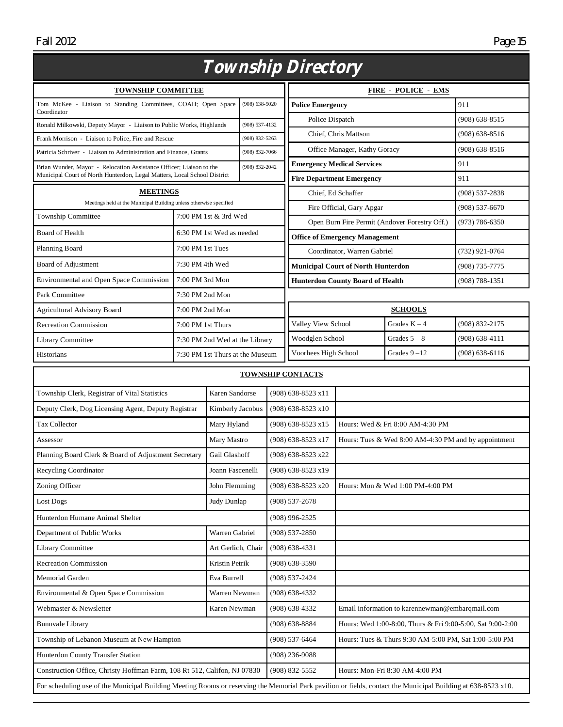| Township Directory                                                                       |                                 |                    |                    |                         |                                                                                  |                                                        |                                                       |                    |  |
|------------------------------------------------------------------------------------------|---------------------------------|--------------------|--------------------|-------------------------|----------------------------------------------------------------------------------|--------------------------------------------------------|-------------------------------------------------------|--------------------|--|
| <b>TOWNSHIP COMMITTEE</b>                                                                |                                 |                    |                    |                         | <b>FIRE - POLICE - EMS</b>                                                       |                                                        |                                                       |                    |  |
| Tom McKee - Liaison to Standing Committees, COAH; Open Space                             |                                 |                    | $(908) 638 - 5020$ | <b>Police Emergency</b> |                                                                                  |                                                        |                                                       | 911                |  |
| Coordinator<br>Ronald Milkowski, Deputy Mayor - Liaison to Public Works, Highlands       |                                 |                    | (908) 537-4132     | Police Dispatch         |                                                                                  |                                                        | (908) 638-8515                                        |                    |  |
| Frank Morrison - Liaison to Police, Fire and Rescue                                      |                                 |                    | $(908) 832 - 5263$ |                         | Chief, Chris Mattson                                                             |                                                        |                                                       | $(908) 638 - 8516$ |  |
| Patricia Schriver - Liaison to Administration and Finance, Grants                        |                                 |                    | (908) 832-7066     |                         | Office Manager, Kathy Goracy                                                     |                                                        | (908) 638-8516                                        |                    |  |
| Brian Wunder, Mayor - Relocation Assistance Officer; Liaison to the                      |                                 |                    | $(908) 832 - 2042$ |                         | <b>Emergency Medical Services</b>                                                |                                                        | 911                                                   |                    |  |
| Municipal Court of North Hunterdon, Legal Matters, Local School District                 |                                 |                    |                    |                         | <b>Fire Department Emergency</b>                                                 |                                                        | 911                                                   |                    |  |
| <b>MEETINGS</b>                                                                          |                                 |                    |                    |                         | Chief, Ed Schaffer                                                               |                                                        |                                                       | (908) 537-2838     |  |
| Meetings held at the Municipal Building unless otherwise specified<br>Township Committee |                                 |                    |                    |                         |                                                                                  | Fire Official, Gary Apgar                              |                                                       | $(908) 537 - 6670$ |  |
|                                                                                          | 7:00 PM 1st & 3rd Wed           |                    |                    |                         | Open Burn Fire Permit (Andover Forestry Off.)                                    |                                                        |                                                       | (973) 786-6350     |  |
| Board of Health                                                                          | 6:30 PM 1st Wed as needed       |                    |                    |                         | <b>Office of Emergency Management</b>                                            |                                                        |                                                       |                    |  |
| Planning Board                                                                           | 7:00 PM 1st Tues                |                    |                    |                         | Coordinator, Warren Gabriel                                                      |                                                        |                                                       | (732) 921-0764     |  |
| Board of Adjustment                                                                      | 7:30 PM 4th Wed                 |                    |                    |                         | <b>Municipal Court of North Hunterdon</b>                                        |                                                        |                                                       | (908) 735-7775     |  |
| Environmental and Open Space Commission                                                  | 7:00 PM 3rd Mon                 |                    |                    |                         | <b>Hunterdon County Board of Health</b>                                          |                                                        |                                                       | (908) 788-1351     |  |
| Park Committee                                                                           | 7:30 PM 2nd Mon                 |                    |                    |                         |                                                                                  |                                                        |                                                       |                    |  |
| <b>Agricultural Advisory Board</b>                                                       | 7:00 PM 2nd Mon                 |                    |                    |                         | <b>SCHOOLS</b>                                                                   |                                                        |                                                       |                    |  |
| <b>Recreation Commission</b>                                                             | 7:00 PM 1st Thurs               |                    |                    |                         | Valley View School                                                               |                                                        | Grades $K - 4$                                        | (908) 832-2175     |  |
| Library Committee                                                                        | 7:30 PM 2nd Wed at the Library  |                    |                    |                         | Woodglen School                                                                  |                                                        | Grades $5 - 8$                                        | $(908) 638 - 4111$ |  |
| Historians                                                                               | 7:30 PM 1st Thurs at the Museum |                    |                    |                         | Voorhees High School                                                             |                                                        | Grades $9 - 12$                                       | $(908) 638 - 6116$ |  |
|                                                                                          |                                 |                    |                    |                         | <b>TOWNSHIP CONTACTS</b>                                                         |                                                        |                                                       |                    |  |
| Township Clerk, Registrar of Vital Statistics                                            |                                 | Karen Sandorse     |                    | (908) 638-8523 x11      |                                                                                  |                                                        |                                                       |                    |  |
| Deputy Clerk, Dog Licensing Agent, Deputy Registrar                                      |                                 | Kimberly Jacobus   |                    | (908) 638-8523 x10      |                                                                                  |                                                        |                                                       |                    |  |
| Tax Collector                                                                            |                                 | Mary Hyland        |                    | (908) 638-8523 x15      |                                                                                  | Hours: Wed & Fri 8:00 AM-4:30 PM                       |                                                       |                    |  |
| Assessor                                                                                 |                                 | Mary Mastro        |                    |                         | (908) 638-8523 x17                                                               | Hours: Tues & Wed $8:00$ AM-4:30 PM and by appointment |                                                       |                    |  |
| Planning Board Clerk & Board of Adjustment Secretary                                     |                                 | Gail Glashoff      |                    |                         | (908) 638-8523 x22                                                               |                                                        |                                                       |                    |  |
| Recycling Coordinator                                                                    |                                 | Joann Fascenelli   |                    |                         | (908) 638-8523 x19                                                               |                                                        |                                                       |                    |  |
| Zoning Officer                                                                           |                                 | John Flemming      |                    |                         | (908) 638-8523 x20<br>Hours: Mon & Wed 1:00 PM-4:00 PM                           |                                                        |                                                       |                    |  |
| Lost Dogs                                                                                |                                 | Judy Dunlap        |                    |                         | (908) 537-2678                                                                   |                                                        |                                                       |                    |  |
| Hunterdon Humane Animal Shelter                                                          |                                 |                    |                    |                         | (908) 996-2525                                                                   |                                                        |                                                       |                    |  |
| Department of Public Works                                                               |                                 | Warren Gabriel     |                    |                         | $(908) 537 - 2850$                                                               |                                                        |                                                       |                    |  |
| Library Committee                                                                        |                                 | Art Gerlich, Chair |                    |                         | $(908)$ 638-4331                                                                 |                                                        |                                                       |                    |  |
| Recreation Commission                                                                    |                                 | Kristin Petrik     |                    |                         | $(908) 638 - 3590$                                                               |                                                        |                                                       |                    |  |
| Memorial Garden                                                                          |                                 | Eva Burrell        |                    |                         | (908) 537-2424                                                                   |                                                        |                                                       |                    |  |
| Environmental & Open Space Commission                                                    |                                 |                    | Warren Newman      |                         | $(908) 638 - 4332$                                                               |                                                        |                                                       |                    |  |
| Webmaster & Newsletter                                                                   |                                 | Karen Newman       |                    |                         | $(908) 638 - 4332$                                                               |                                                        | Email information to karennewman@embarqmail.com       |                    |  |
| <b>Bunnvale Library</b>                                                                  |                                 |                    |                    |                         | $(908) 638 - 8884$<br>Hours: Wed 1:00-8:00, Thurs & Fri 9:00-5:00, Sat 9:00-2:00 |                                                        |                                                       |                    |  |
| Township of Lebanon Museum at New Hampton                                                |                                 |                    |                    |                         | $(908) 537 - 6464$                                                               |                                                        | Hours: Tues & Thurs 9:30 AM-5:00 PM, Sat 1:00-5:00 PM |                    |  |
| Hunterdon County Transfer Station                                                        |                                 |                    |                    |                         | $(908)$ 236-9088                                                                 |                                                        |                                                       |                    |  |

For scheduling use of the Municipal Building Meeting Rooms or reserving the Memorial Park pavilion or fields, contact the Municipal Building at 638-8523 x10.

Construction Office, Christy Hoffman Farm, 108 Rt 512, Califon, NJ 07830 (908) 832-5552 Hours: Mon-Fri 8:30 AM-4:00 PM